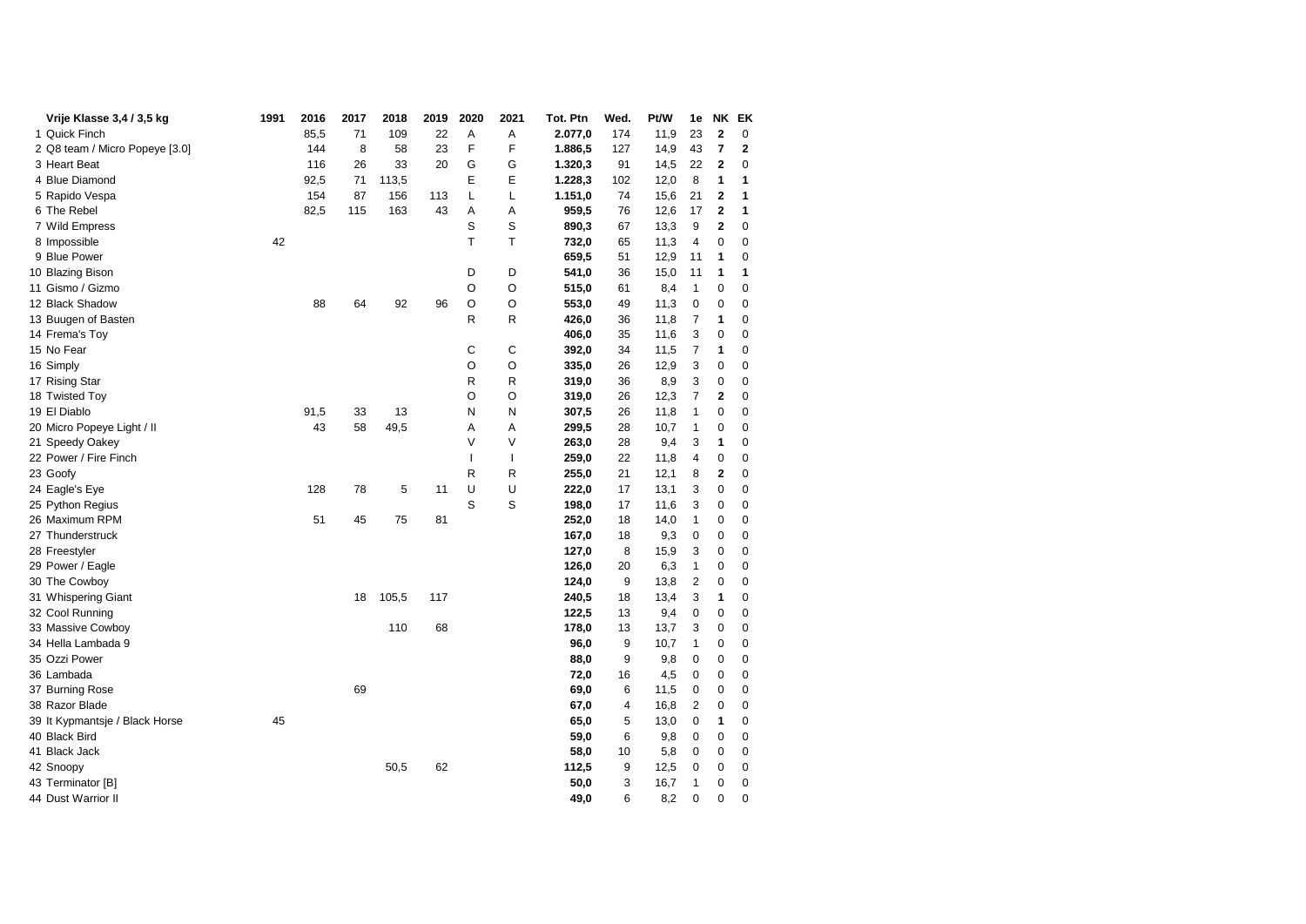| Vrije Klasse 3,4 / 3,5 kg      | 1991 | 2016 | 2017 | 2018  | 2019 | 2020         | 2021         | Tot. Ptn | Wed. | Pt/W | 1e             | NΚ             | EK           |
|--------------------------------|------|------|------|-------|------|--------------|--------------|----------|------|------|----------------|----------------|--------------|
| 1 Quick Finch                  |      | 85,5 | 71   | 109   | 22   | Α            | Α            | 2.077,0  | 174  | 11,9 | 23             | 2              | 0            |
| 2 Q8 team / Micro Popeye [3.0] |      | 144  | 8    | 58    | 23   | F            | F            | 1.886,5  | 127  | 14,9 | 43             | 7              | $\mathbf{2}$ |
| 3 Heart Beat                   |      | 116  | 26   | 33    | 20   | G            | G            | 1.320,3  | 91   | 14,5 | 22             | 2              | 0            |
| 4 Blue Diamond                 |      | 92,5 | 71   | 113,5 |      | Ε            | Е            | 1.228,3  | 102  | 12,0 | 8              | 1              | 1            |
| 5 Rapido Vespa                 |      | 154  | 87   | 156   | 113  | L            | Г            | 1.151,0  | 74   | 15,6 | 21             | 2              | 1            |
| 6 The Rebel                    |      | 82,5 | 115  | 163   | 43   | Α            | Α            | 959,5    | 76   | 12,6 | 17             | 2              | 1            |
| 7 Wild Empress                 |      |      |      |       |      | S            | S            | 890,3    | 67   | 13,3 | 9              | 2              | 0            |
| 8 Impossible                   | 42   |      |      |       |      | т            | Τ            | 732,0    | 65   | 11,3 | 4              | 0              | 0            |
| 9 Blue Power                   |      |      |      |       |      |              |              | 659,5    | 51   | 12,9 | 11             | 1              | 0            |
| 10 Blazing Bison               |      |      |      |       |      | D            | D            | 541,0    | 36   | 15,0 | 11             | 1              | 1            |
| 11 Gismo / Gizmo               |      |      |      |       |      | O            | O            | 515,0    | 61   | 8,4  | 1              | 0              | 0            |
| 12 Black Shadow                |      | 88   | 64   | 92    | 96   | O            | O            | 553,0    | 49   | 11,3 | 0              | 0              | 0            |
| 13 Buugen of Basten            |      |      |      |       |      | R            | R            | 426,0    | 36   | 11,8 | 7              | 1              | 0            |
| 14 Frema's Toy                 |      |      |      |       |      |              |              | 406,0    | 35   | 11,6 | 3              | 0              | 0            |
| 15 No Fear                     |      |      |      |       |      | С            | С            | 392,0    | 34   | 11,5 | $\overline{7}$ | 1              | 0            |
| 16 Simply                      |      |      |      |       |      | O            | O            | 335,0    | 26   | 12,9 | 3              | 0              | 0            |
| 17 Rising Star                 |      |      |      |       |      | R            | R            | 319,0    | 36   | 8,9  | 3              | 0              | 0            |
| 18 Twisted Toy                 |      |      |      |       |      | O            | O            | 319,0    | 26   | 12,3 | 7              | $\overline{2}$ | 0            |
| 19 El Diablo                   |      | 91,5 | 33   | 13    |      | N            | N            | 307,5    | 26   | 11,8 | 1              | 0              | $\mathbf 0$  |
| 20 Micro Popeye Light / II     |      | 43   | 58   | 49,5  |      | Α            | Α            | 299,5    | 28   | 10,7 | 1              | 0              | $\mathbf 0$  |
| 21 Speedy Oakey                |      |      |      |       |      | V            | V            | 263,0    | 28   | 9,4  | 3              | 1              | 0            |
| 22 Power / Fire Finch          |      |      |      |       |      | $\mathbf{I}$ | $\mathbf{I}$ | 259,0    | 22   | 11,8 | 4              | 0              | $\mathbf 0$  |
| 23 Goofy                       |      |      |      |       |      | R            | R            | 255,0    | 21   | 12,1 | 8              | 2              | $\mathbf 0$  |
| 24 Eagle's Eye                 |      | 128  | 78   | 5     | 11   | U            | U            | 222,0    | 17   | 13,1 | 3              | 0              | 0            |
| 25 Python Regius               |      |      |      |       |      | S            | S            | 198,0    | 17   | 11,6 | 3              | 0              | $\mathbf 0$  |
| 26 Maximum RPM                 |      | 51   | 45   | 75    | 81   |              |              | 252,0    | 18   | 14,0 | $\mathbf{1}$   | 0              | $\mathbf 0$  |
| 27 Thunderstruck               |      |      |      |       |      |              |              | 167,0    | 18   | 9,3  | 0              | 0              | 0            |
| 28 Freestyler                  |      |      |      |       |      |              |              | 127,0    | 8    | 15,9 | 3              | 0              | $\mathbf 0$  |
| 29 Power / Eagle               |      |      |      |       |      |              |              | 126,0    | 20   | 6,3  | $\mathbf{1}$   | 0              | $\mathbf 0$  |
| 30 The Cowboy                  |      |      |      |       |      |              |              | 124,0    | 9    | 13,8 | 2              | 0              | 0            |
| 31 Whispering Giant            |      |      | 18   | 105,5 | 117  |              |              | 240,5    | 18   | 13,4 | 3              | 1              | $\mathbf 0$  |
| 32 Cool Running                |      |      |      |       |      |              |              | 122,5    | 13   | 9,4  | 0              | 0              | $\mathbf 0$  |
| 33 Massive Cowboy              |      |      |      | 110   | 68   |              |              | 178,0    | 13   | 13,7 | 3              | 0              | 0            |
| 34 Hella Lambada 9             |      |      |      |       |      |              |              | 96,0     | 9    | 10,7 | 1              | 0              | $\mathbf 0$  |
| 35 Ozzi Power                  |      |      |      |       |      |              |              | 88,0     | 9    | 9,8  | $\mathbf 0$    | 0              | $\mathbf 0$  |
| 36 Lambada                     |      |      |      |       |      |              |              | 72,0     | 16   | 4,5  | 0              | 0              | $\mathbf 0$  |
| 37 Burning Rose                |      |      | 69   |       |      |              |              | 69,0     | 6    | 11,5 | 0              | 0              | $\mathbf 0$  |
| 38 Razor Blade                 |      |      |      |       |      |              |              | 67,0     | 4    | 16,8 | 2              | 0              | $\mathbf 0$  |
| 39 It Kypmantsje / Black Horse | 45   |      |      |       |      |              |              | 65,0     | 5    | 13,0 | $\mathbf 0$    | 1              | $\mathbf 0$  |
| 40 Black Bird                  |      |      |      |       |      |              |              | 59,0     | 6    | 9,8  | 0              | 0              | $\mathbf 0$  |
| 41 Black Jack                  |      |      |      |       |      |              |              | 58,0     | 10   | 5,8  | $\mathbf 0$    | 0              | $\mathbf 0$  |
| 42 Snoopy                      |      |      |      | 50,5  | 62   |              |              | 112,5    | 9    | 12,5 | 0              | 0              | $\mathbf 0$  |
| 43 Terminator [B]              |      |      |      |       |      |              |              | 50,0     | 3    | 16,7 | 1              | 0              | $\mathbf 0$  |
| 44 Dust Warrior II             |      |      |      |       |      |              |              | 49,0     | 6    | 8,2  | 0              | 0              | $\mathbf 0$  |
|                                |      |      |      |       |      |              |              |          |      |      |                |                |              |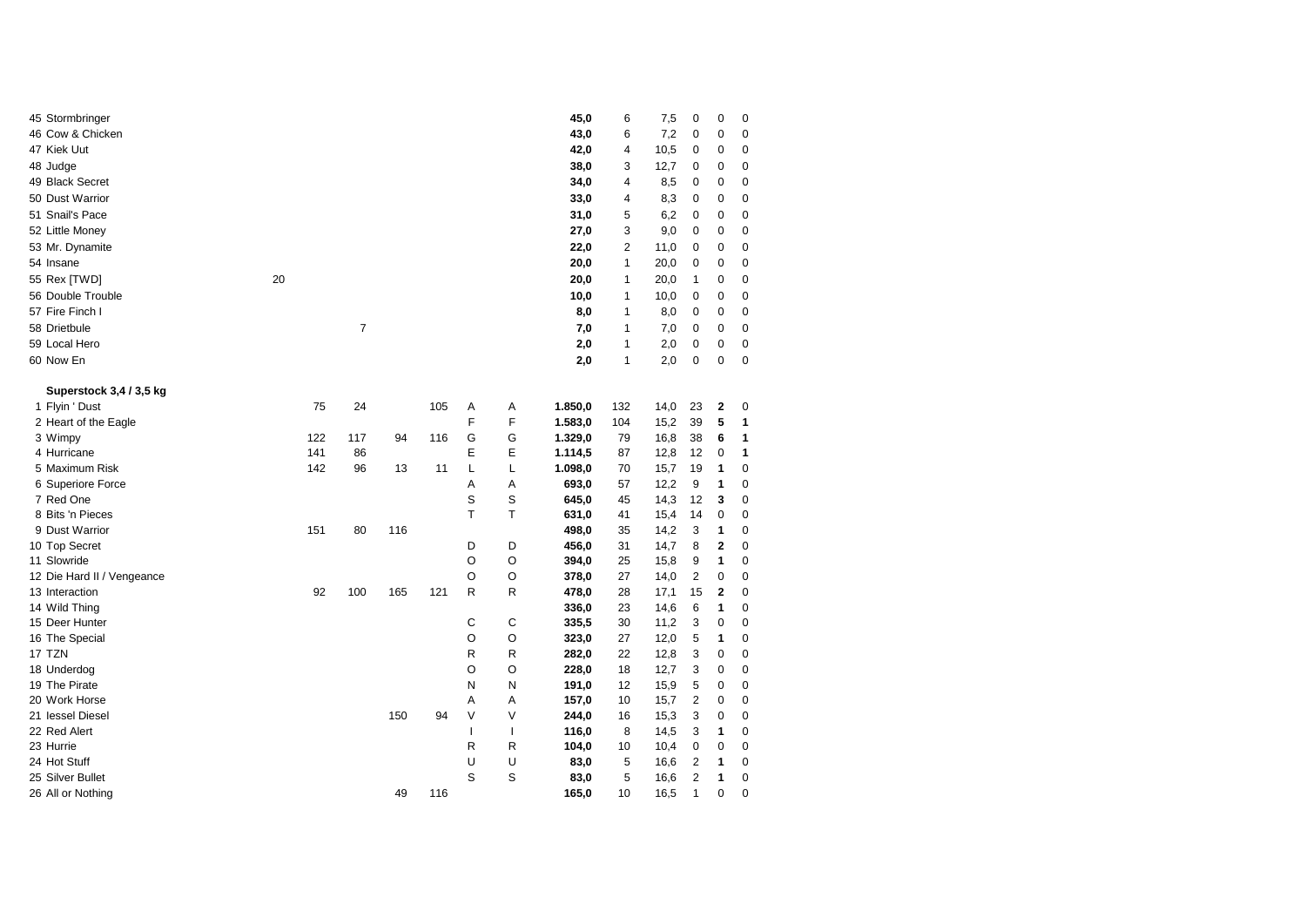| 45 Stormbringer            |    |     |     |     |     |        |              | 45,0    | 6   | 7,5  | 0              | $\mathbf 0$ | 0           |
|----------------------------|----|-----|-----|-----|-----|--------|--------------|---------|-----|------|----------------|-------------|-------------|
| 46 Cow & Chicken           |    |     |     |     |     |        |              | 43,0    | 6   | 7,2  | 0              | $\mathbf 0$ | $\mathbf 0$ |
| 47 Kiek Uut                |    |     |     |     |     |        |              | 42,0    | 4   | 10,5 | 0              | 0           | 0           |
| 48 Judge                   |    |     |     |     |     |        |              | 38,0    | 3   | 12,7 | 0              | 0           | 0           |
| 49 Black Secret            |    |     |     |     |     |        |              | 34,0    | 4   | 8,5  | 0              | 0           | 0           |
| 50 Dust Warrior            |    |     |     |     |     |        |              | 33,0    | 4   | 8,3  | 0              | 0           | 0           |
| 51 Snail's Pace            |    |     |     |     |     |        |              | 31,0    | 5   | 6,2  | 0              | 0           | 0           |
| 52 Little Money            |    |     |     |     |     |        |              | 27,0    | 3   | 9,0  | 0              | 0           | $\mathbf 0$ |
| 53 Mr. Dynamite            |    |     |     |     |     |        |              | 22,0    | 2   | 11,0 | 0              | 0           | $\mathbf 0$ |
| 54 Insane                  |    |     |     |     |     |        |              | 20,0    | 1   | 20,0 | 0              | 0           | 0           |
| 55 Rex [TWD]               | 20 |     |     |     |     |        |              | 20,0    | 1   | 20,0 | 1              | 0           | 0           |
| 56 Double Trouble          |    |     |     |     |     |        |              | 10,0    | 1   | 10,0 | 0              | 0           | 0           |
| 57 Fire Finch I            |    |     |     |     |     |        |              | 8,0     | 1   | 8,0  | 0              | 0           | 0           |
| 58 Drietbule               |    |     | 7   |     |     |        |              | 7,0     | 1   | 7,0  | 0              | 0           | 0           |
| 59 Local Hero              |    |     |     |     |     |        |              | 2,0     | 1   | 2,0  | 0              | 0           | $\mathbf 0$ |
| 60 Now En                  |    |     |     |     |     |        |              | 2,0     | 1   | 2,0  | 0              | $\mathbf 0$ | $\mathbf 0$ |
|                            |    |     |     |     |     |        |              |         |     |      |                |             |             |
| Superstock 3,4 / 3,5 kg    |    |     |     |     |     |        |              |         |     |      |                |             |             |
| 1 Flyin ' Dust             |    | 75  | 24  |     | 105 | Α      | Α            | 1.850,0 | 132 | 14,0 | 23             | 2           | 0           |
| 2 Heart of the Eagle       |    |     |     |     |     | F      | F            | 1.583,0 | 104 | 15,2 | 39             | 5           | 1           |
| 3 Wimpy                    |    | 122 | 117 | 94  | 116 | G      | G            | 1.329,0 | 79  | 16,8 | 38             | 6           | 1           |
| 4 Hurricane                |    | 141 | 86  |     |     | Ε      | E            | 1.114,5 | 87  | 12,8 | 12             | 0           | 1           |
| 5 Maximum Risk             |    | 142 | 96  | 13  | 11  | L      | L            | 1.098,0 | 70  | 15,7 | 19             | 1           | 0           |
| 6 Superiore Force          |    |     |     |     |     | Α      | Α            | 693,0   | 57  | 12,2 | 9              | 1           | 0           |
| 7 Red One                  |    |     |     |     |     | S      | S            | 645,0   | 45  | 14,3 | 12             | 3           | 0           |
| 8 Bits 'n Pieces           |    |     |     |     |     | T      | Т            | 631,0   | 41  | 15,4 | 14             | 0           | 0           |
| 9 Dust Warrior             |    | 151 | 80  | 116 |     |        |              | 498,0   | 35  | 14,2 | 3              | 1           | 0           |
| 10 Top Secret              |    |     |     |     |     | D      | D            | 456,0   | 31  | 14,7 | 8              | 2           | 0           |
| 11 Slowride                |    |     |     |     |     | O      | O            | 394,0   | 25  | 15,8 | 9              | 1           | 0           |
| 12 Die Hard II / Vengeance |    |     |     |     |     | O      | O            | 378,0   | 27  | 14,0 | $\overline{2}$ | 0           | 0           |
| 13 Interaction             |    | 92  | 100 | 165 | 121 | R      | R            | 478,0   | 28  | 17,1 | 15             | 2           | $\mathbf 0$ |
| 14 Wild Thing              |    |     |     |     |     |        |              | 336,0   | 23  | 14,6 | 6              | 1           | 0           |
| 15 Deer Hunter             |    |     |     |     |     | С      | С            | 335,5   | 30  | 11,2 | 3              | 0           | 0           |
| 16 The Special             |    |     |     |     |     | O      | Ο            | 323,0   | 27  | 12,0 | 5              | 1           | 0           |
| 17 TZN                     |    |     |     |     |     | R      | R            | 282,0   | 22  | 12,8 | 3              | 0           | 0           |
| 18 Underdog                |    |     |     |     |     | O      | Ο            | 228,0   | 18  | 12,7 | 3              | 0           | 0           |
| 19 The Pirate              |    |     |     |     |     | N      | N            | 191,0   | 12  | 15,9 | 5              | 0           | 0           |
| 20 Work Horse              |    |     |     |     |     | A      | Α            | 157,0   | 10  | 15,7 | $\overline{2}$ | 0           | 0           |
| 21 lessel Diesel           |    |     |     | 150 | 94  | $\vee$ | ٧            | 244,0   | 16  | 15,3 | 3              | 0           | 0           |
| 22 Red Alert               |    |     |     |     |     | T      | $\mathbf{I}$ | 116,0   | 8   | 14,5 | 3              | 1           | 0           |
| 23 Hurrie                  |    |     |     |     |     | R      | R            | 104,0   | 10  | 10,4 | 0              | 0           | 0           |
| 24 Hot Stuff               |    |     |     |     |     | U      | U            | 83,0    | 5   | 16,6 | 2              | 1           | 0           |
| 25 Silver Bullet           |    |     |     |     |     | S      | S            | 83,0    | 5   | 16,6 | 2              | 1           | 0           |
| 26 All or Nothing          |    |     |     | 49  | 116 |        |              | 165,0   | 10  | 16,5 | 1              | 0           | 0           |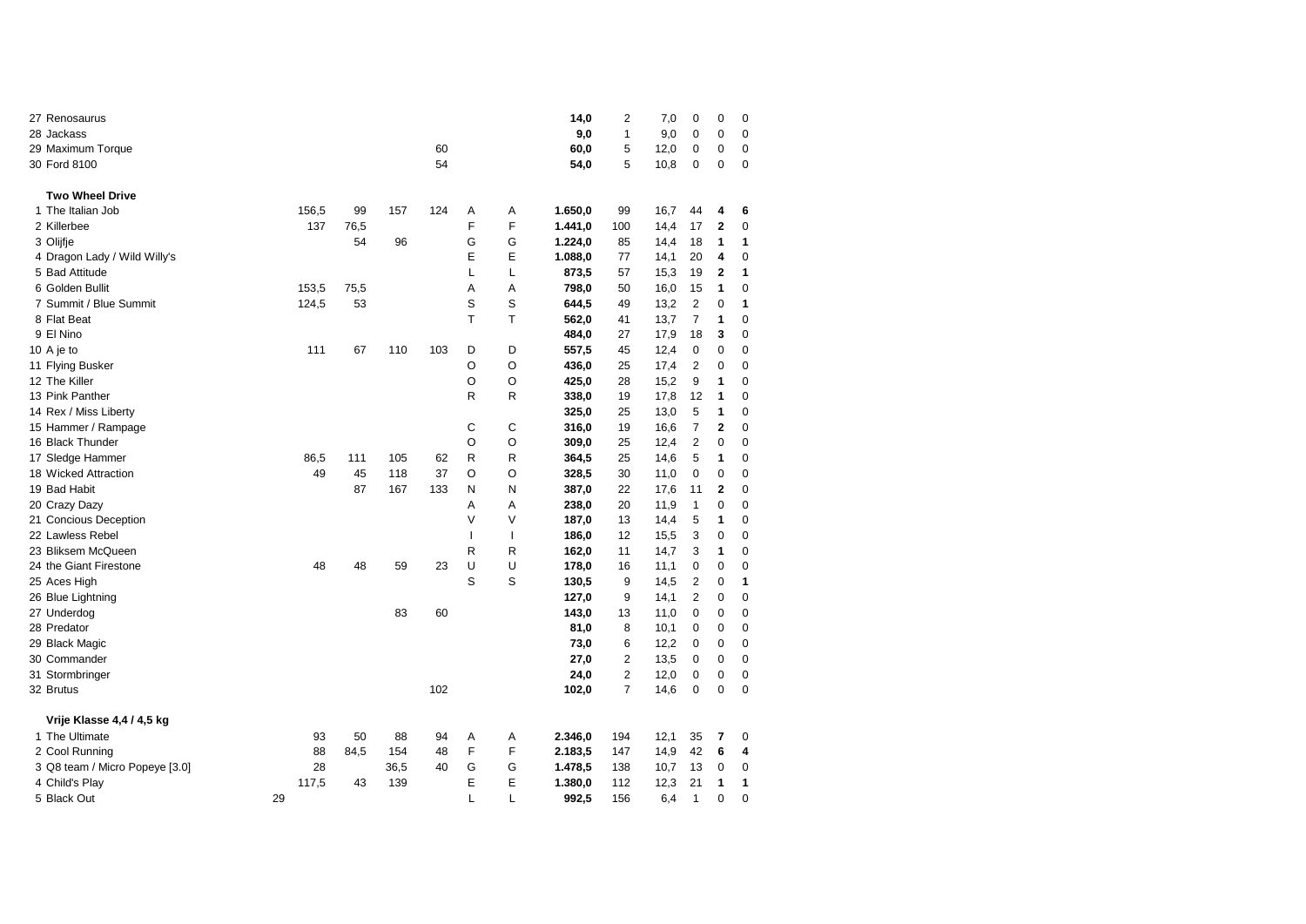| 27 Renosaurus                  |    |       |      |      |     |              |   | 14,0    | 2              | 7,0  | 0              | 0              | 0           |
|--------------------------------|----|-------|------|------|-----|--------------|---|---------|----------------|------|----------------|----------------|-------------|
| 28 Jackass                     |    |       |      |      |     |              |   | 9,0     | 1              | 9,0  | $\mathbf 0$    | 0              | $\mathbf 0$ |
| 29 Maximum Torque              |    |       |      |      | 60  |              |   | 60,0    | 5              | 12,0 | $\mathbf 0$    | 0              | $\mathbf 0$ |
| 30 Ford 8100                   |    |       |      |      | 54  |              |   | 54,0    | 5              | 10,8 | 0              | 0              | $\mathbf 0$ |
| <b>Two Wheel Drive</b>         |    |       |      |      |     |              |   |         |                |      |                |                |             |
| 1 The Italian Job              |    | 156,5 | 99   | 157  | 124 | Α            | Α | 1.650,0 | 99             | 16,7 | 44             | 4              | 6           |
| 2 Killerbee                    |    | 137   | 76,5 |      |     | F            | F | 1.441,0 | 100            | 14,4 | 17             | 2              | 0           |
| 3 Olijfje                      |    |       | 54   | 96   |     | G            | G | 1.224,0 | 85             | 14,4 | 18             | 1              | 1           |
| 4 Dragon Lady / Wild Willy's   |    |       |      |      |     | Е            | E | 1.088,0 | 77             | 14,1 | 20             | 4              | $\mathbf 0$ |
| 5 Bad Attitude                 |    |       |      |      |     | L            | L | 873,5   | 57             | 15,3 | 19             | $\overline{2}$ | 1           |
| 6 Golden Bullit                |    | 153,5 | 75,5 |      |     | A            | A | 798,0   | 50             | 16,0 | 15             | 1              | $\mathbf 0$ |
| 7 Summit / Blue Summit         |    | 124,5 | 53   |      |     | S            | S | 644,5   | 49             | 13,2 | $\overline{2}$ | 0              | 1           |
| 8 Flat Beat                    |    |       |      |      |     | T            | T | 562,0   | 41             | 13,7 | $\overline{7}$ | 1              | 0           |
| 9 El Nino                      |    |       |      |      |     |              |   | 484,0   | 27             | 17,9 | 18             | 3              | $\mathbf 0$ |
| 10 A je to                     |    | 111   | 67   | 110  | 103 | D            | D | 557,5   | 45             | 12,4 | $\mathbf 0$    | 0              | 0           |
| 11 Flying Busker               |    |       |      |      |     | O            | O | 436,0   | 25             | 17,4 | $\overline{2}$ | 0              | 0           |
| 12 The Killer                  |    |       |      |      |     | O            | O | 425,0   | 28             | 15,2 | 9              | 1              | $\mathbf 0$ |
| 13 Pink Panther                |    |       |      |      |     | R            | R | 338,0   | 19             | 17,8 | 12             | 1              | $\mathbf 0$ |
| 14 Rex / Miss Liberty          |    |       |      |      |     |              |   | 325,0   | 25             | 13,0 | 5              | 1              | 0           |
| 15 Hammer / Rampage            |    |       |      |      |     | С            | С | 316,0   | 19             | 16,6 | 7              | 2              | 0           |
| 16 Black Thunder               |    |       |      |      |     | O            | O | 309,0   | 25             | 12,4 | 2              | 0              | $\mathbf 0$ |
| 17 Sledge Hammer               |    | 86,5  | 111  | 105  | 62  | R            | R | 364,5   | 25             | 14,6 | 5              | 1              | 0           |
| 18 Wicked Attraction           |    | 49    | 45   | 118  | 37  | O            | O | 328,5   | 30             | 11,0 | 0              | 0              | $\mathbf 0$ |
| 19 Bad Habit                   |    |       | 87   | 167  | 133 | N            | N | 387,0   | 22             | 17,6 | 11             | $\overline{2}$ | $\mathbf 0$ |
| 20 Crazy Dazy                  |    |       |      |      |     | Α            | Α | 238,0   | 20             | 11,9 | 1              | 0              | $\mathbf 0$ |
| 21 Concious Deception          |    |       |      |      |     | V            | V | 187,0   | 13             | 14,4 | 5              | 1              | 0           |
| 22 Lawless Rebel               |    |       |      |      |     | $\mathbf{I}$ | T | 186,0   | 12             | 15,5 | 3              | 0              | 0           |
| 23 Bliksem McQueen             |    |       |      |      |     | R            | R | 162,0   | 11             | 14,7 | 3              | 1              | $\mathbf 0$ |
| 24 the Giant Firestone         |    | 48    | 48   | 59   | 23  | U            | U | 178,0   | 16             | 11,1 | 0              | 0              | 0           |
| 25 Aces High                   |    |       |      |      |     | S            | S | 130,5   | 9              | 14,5 | $\overline{2}$ | 0              | 1           |
| 26 Blue Lightning              |    |       |      |      |     |              |   | 127,0   | 9              | 14,1 | 2              | 0              | $\mathbf 0$ |
| 27 Underdog                    |    |       |      | 83   | 60  |              |   | 143,0   | 13             | 11,0 | 0              | 0              | 0           |
| 28 Predator                    |    |       |      |      |     |              |   | 81,0    | 8              | 10,1 | 0              | 0              | 0           |
| 29 Black Magic                 |    |       |      |      |     |              |   | 73,0    | 6              | 12,2 | 0              | 0              | 0           |
| 30 Commander                   |    |       |      |      |     |              |   | 27,0    | 2              | 13,5 | 0              | 0              | 0           |
| 31 Stormbringer                |    |       |      |      |     |              |   | 24,0    | $\overline{2}$ | 12,0 | $\mathbf 0$    | 0              | $\mathbf 0$ |
| 32 Brutus                      |    |       |      |      | 102 |              |   | 102,0   | $\overline{7}$ | 14,6 | $\mathbf 0$    | 0              | $\mathbf 0$ |
| Vrije Klasse 4,4 / 4,5 kg      |    |       |      |      |     |              |   |         |                |      |                |                |             |
| 1 The Ultimate                 |    | 93    | 50   | 88   | 94  | Α            | Α | 2.346,0 | 194            | 12,1 | 35             | 7              | 0           |
| 2 Cool Running                 |    | 88    | 84,5 | 154  | 48  | F            | F | 2.183,5 | 147            | 14,9 | 42             | 6              | 4           |
| 3 Q8 team / Micro Popeye [3.0] |    | 28    |      | 36,5 | 40  | G            | G | 1.478,5 | 138            | 10,7 | 13             | 0              | 0           |
| 4 Child's Play                 |    | 117,5 | 43   | 139  |     | E            | E | 1.380,0 | 112            | 12,3 | 21             | 1              | 1           |
| 5 Black Out                    | 29 |       |      |      |     | L            | L | 992,5   | 156            | 6.4  | $\mathbf{1}$   | 0              | $\mathbf 0$ |
|                                |    |       |      |      |     |              |   |         |                |      |                |                |             |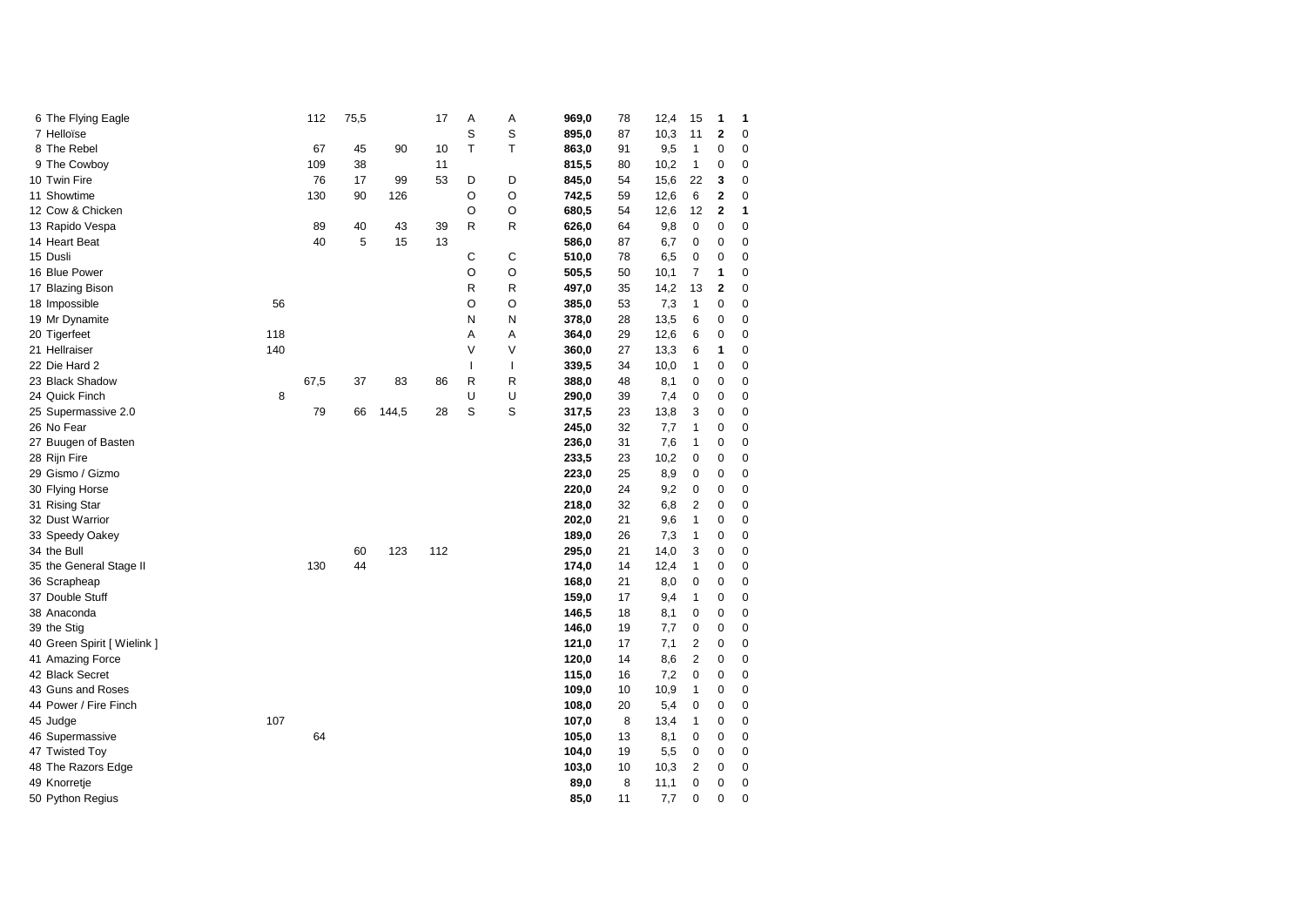| 6 The Flying Eagle    |                             |     | 112  | 75,5 |       | 17  | Α            | Α | 969,0 | 78 | 12,4 | 15             | 1              | 1           |
|-----------------------|-----------------------------|-----|------|------|-------|-----|--------------|---|-------|----|------|----------------|----------------|-------------|
| 7 Helloïse            |                             |     |      |      |       |     | S            | S | 895,0 | 87 | 10,3 | 11             | 2              | 0           |
| 8 The Rebel           |                             |     | 67   | 45   | 90    | 10  | T            | T | 863,0 | 91 | 9,5  | $\mathbf{1}$   | 0              | 0           |
| 9 The Cowboy          |                             |     | 109  | 38   |       | 11  |              |   | 815,5 | 80 | 10,2 | 1              | 0              | 0           |
| 10 Twin Fire          |                             |     | 76   | 17   | 99    | 53  | D            | D | 845,0 | 54 | 15,6 | 22             | 3              | $\mathbf 0$ |
| 11 Showtime           |                             |     | 130  | 90   | 126   |     | O            | O | 742,5 | 59 | 12,6 | 6              | $\mathbf 2$    | 0           |
| 12 Cow & Chicken      |                             |     |      |      |       |     | O            | O | 680,5 | 54 | 12,6 | 12             | $\overline{2}$ | 1           |
| 13 Rapido Vespa       |                             |     | 89   | 40   | 43    | 39  | R            | R | 626,0 | 64 | 9,8  | 0              | 0              | 0           |
| 14 Heart Beat         |                             |     | 40   | 5    | 15    | 13  |              |   | 586,0 | 87 | 6,7  | 0              | 0              | 0           |
| 15 Dusli              |                             |     |      |      |       |     | С            | С | 510,0 | 78 | 6,5  | 0              | 0              | 0           |
| 16 Blue Power         |                             |     |      |      |       |     | O            | O | 505,5 | 50 | 10,1 | $\overline{7}$ | 1              | 0           |
| 17 Blazing Bison      |                             |     |      |      |       |     | R            | R | 497,0 | 35 | 14,2 | 13             | $\overline{2}$ | 0           |
| 18 Impossible         |                             | 56  |      |      |       |     | O            | O | 385,0 | 53 | 7,3  | 1              | 0              | 0           |
| 19 Mr Dynamite        |                             |     |      |      |       |     | N            | N | 378,0 | 28 | 13,5 | 6              | 0              | $\mathbf 0$ |
| 20 Tigerfeet          |                             | 118 |      |      |       |     | A            | A | 364,0 | 29 | 12,6 | 6              | 0              | 0           |
| 21 Hellraiser         |                             | 140 |      |      |       |     | V            | V | 360,0 | 27 | 13,3 | 6              | 1              | 0           |
| 22 Die Hard 2         |                             |     |      |      |       |     | $\mathbf{I}$ | T | 339,5 | 34 | 10,0 | 1              | 0              | 0           |
| 23 Black Shadow       |                             |     | 67,5 | 37   | 83    | 86  | R            | R | 388,0 | 48 | 8,1  | 0              | 0              | 0           |
| 24 Quick Finch        |                             | 8   |      |      |       |     | U            | U | 290,0 | 39 | 7,4  | 0              | 0              | 0           |
| 25 Supermassive 2.0   |                             |     | 79   | 66   | 144,5 | 28  | S            | S | 317,5 | 23 | 13,8 | 3              | 0              | 0           |
| 26 No Fear            |                             |     |      |      |       |     |              |   | 245,0 | 32 | 7,7  | $\mathbf{1}$   | 0              | $\mathbf 0$ |
| 27 Buugen of Basten   |                             |     |      |      |       |     |              |   | 236,0 | 31 | 7,6  | $\mathbf{1}$   | 0              | $\Omega$    |
| 28 Rijn Fire          |                             |     |      |      |       |     |              |   | 233,5 | 23 | 10,2 | 0              | 0              | 0           |
| 29 Gismo / Gizmo      |                             |     |      |      |       |     |              |   | 223,0 | 25 | 8,9  | 0              | 0              | 0           |
| 30 Flying Horse       |                             |     |      |      |       |     |              |   | 220,0 | 24 | 9,2  | 0              | 0              | 0           |
| 31 Rising Star        |                             |     |      |      |       |     |              |   | 218,0 | 32 | 6,8  | 2              | 0              | 0           |
| 32 Dust Warrior       |                             |     |      |      |       |     |              |   | 202,0 | 21 | 9,6  | 1              | 0              | 0           |
| 33 Speedy Oakey       |                             |     |      |      |       |     |              |   | 189,0 | 26 | 7,3  | 1              | 0              | 0           |
| 34 the Bull           |                             |     |      | 60   | 123   | 112 |              |   | 295,0 | 21 | 14,0 | 3              | 0              | 0           |
|                       | 35 the General Stage II     |     | 130  | 44   |       |     |              |   | 174,0 | 14 | 12,4 | $\mathbf{1}$   | 0              | $\mathbf 0$ |
| 36 Scrapheap          |                             |     |      |      |       |     |              |   | 168,0 | 21 | 8,0  | 0              | 0              | $\mathbf 0$ |
| 37 Double Stuff       |                             |     |      |      |       |     |              |   | 159,0 | 17 | 9,4  | 1              | 0              | 0           |
| 38 Anaconda           |                             |     |      |      |       |     |              |   | 146,5 | 18 | 8,1  | 0              | 0              | 0           |
| 39 the Stig           |                             |     |      |      |       |     |              |   | 146,0 | 19 | 7,7  | 0              | 0              | 0           |
|                       | 40 Green Spirit [ Wielink ] |     |      |      |       |     |              |   | 121,0 | 17 | 7,1  | 2              | 0              | 0           |
| 41 Amazing Force      |                             |     |      |      |       |     |              |   | 120,0 | 14 | 8,6  | 2              | 0              | 0           |
| 42 Black Secret       |                             |     |      |      |       |     |              |   | 115,0 | 16 | 7,2  | 0              | 0              | $\mathbf 0$ |
| 43 Guns and Roses     |                             |     |      |      |       |     |              |   | 109,0 | 10 | 10,9 | $\mathbf{1}$   | 0              | 0           |
| 44 Power / Fire Finch |                             |     |      |      |       |     |              |   | 108,0 | 20 | 5,4  | 0              | 0              | 0           |
| 45 Judge              |                             | 107 |      |      |       |     |              |   | 107,0 | 8  | 13,4 | 1              | 0              | 0           |
| 46 Supermassive       |                             |     | 64   |      |       |     |              |   | 105,0 | 13 | 8,1  | 0              | 0              | 0           |
| 47 Twisted Toy        |                             |     |      |      |       |     |              |   | 104,0 | 19 | 5,5  | 0              | 0              | 0           |
| 48 The Razors Edge    |                             |     |      |      |       |     |              |   | 103,0 | 10 | 10,3 | 2              | 0              | $\mathbf 0$ |
| 49 Knorretje          |                             |     |      |      |       |     |              |   | 89,0  | 8  | 11,1 | 0              | 0              | $\mathbf 0$ |
| 50 Python Regius      |                             |     |      |      |       |     |              |   | 85,0  | 11 | 7,7  | 0              | 0              | $\Omega$    |
|                       |                             |     |      |      |       |     |              |   |       |    |      |                |                |             |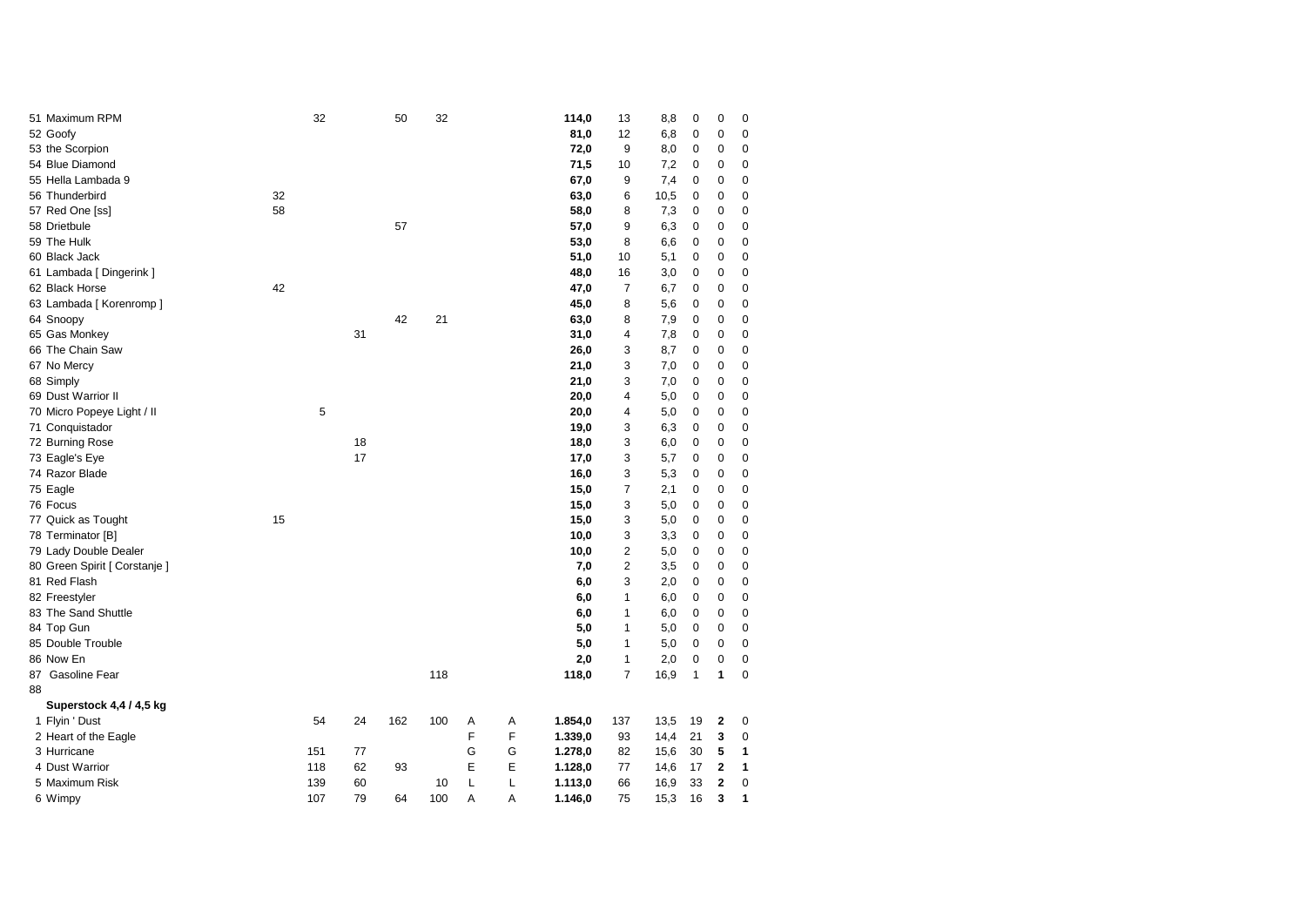| 51 Maximum RPM                |    | 32  |    | 50  | 32  |   |   | 114,0   | 13             | 8,8  | 0            | 0              | 0           |
|-------------------------------|----|-----|----|-----|-----|---|---|---------|----------------|------|--------------|----------------|-------------|
| 52 Goofy                      |    |     |    |     |     |   |   | 81,0    | 12             | 6,8  | $\mathbf 0$  | $\mathbf 0$    | $\mathbf 0$ |
| 53 the Scorpion               |    |     |    |     |     |   |   | 72,0    | 9              | 8,0  | $\pmb{0}$    | $\mathbf 0$    | 0           |
| 54 Blue Diamond               |    |     |    |     |     |   |   | 71,5    | 10             | 7,2  | 0            | $\mathbf 0$    | 0           |
| 55 Hella Lambada 9            |    |     |    |     |     |   |   | 67,0    | 9              | 7,4  | 0            | 0              | $\mathbf 0$ |
| 56 Thunderbird                | 32 |     |    |     |     |   |   | 63,0    | 6              | 10,5 | 0            | $\mathbf 0$    | 0           |
| 57 Red One [ss]               | 58 |     |    |     |     |   |   | 58,0    | 8              | 7,3  | 0            | 0              | 0           |
| 58 Drietbule                  |    |     |    | 57  |     |   |   | 57,0    | 9              | 6,3  | 0            | 0              | 0           |
| 59 The Hulk                   |    |     |    |     |     |   |   | 53,0    | 8              | 6,6  | $\mathbf 0$  | $\mathbf 0$    | 0           |
| 60 Black Jack                 |    |     |    |     |     |   |   | 51,0    | 10             | 5,1  | 0            | $\mathbf 0$    | 0           |
| 61 Lambada [ Dingerink ]      |    |     |    |     |     |   |   | 48,0    | 16             | 3,0  | 0            | 0              | $\mathbf 0$ |
| 62 Black Horse                | 42 |     |    |     |     |   |   | 47,0    | 7              | 6,7  | $\mathbf 0$  | $\mathbf 0$    | 0           |
| 63 Lambada [ Korenromp ]      |    |     |    |     |     |   |   | 45,0    | 8              | 5,6  | 0            | $\mathbf 0$    | 0           |
| 64 Snoopy                     |    |     |    | 42  | 21  |   |   | 63,0    | 8              | 7,9  | 0            | $\mathbf 0$    | $\mathbf 0$ |
| 65 Gas Monkey                 |    |     | 31 |     |     |   |   | 31,0    | 4              | 7,8  | $\mathbf 0$  | $\mathbf 0$    | 0           |
| 66 The Chain Saw              |    |     |    |     |     |   |   | 26,0    | 3              | 8,7  | 0            | $\mathbf 0$    | 0           |
| 67 No Mercy                   |    |     |    |     |     |   |   | 21,0    | 3              | 7,0  | $\mathbf 0$  | $\mathbf 0$    | $\mathbf 0$ |
| 68 Simply                     |    |     |    |     |     |   |   | 21,0    | 3              | 7,0  | $\mathbf 0$  | $\mathbf 0$    | 0           |
| 69 Dust Warrior II            |    |     |    |     |     |   |   | 20,0    | 4              | 5,0  | $\mathbf 0$  | 0              | $\mathbf 0$ |
| 70 Micro Popeye Light / II    |    | 5   |    |     |     |   |   | 20,0    | 4              | 5,0  | 0            | 0              | $\mathbf 0$ |
| 71 Conquistador               |    |     |    |     |     |   |   | 19,0    | 3              | 6,3  | $\mathbf 0$  | $\mathbf 0$    | $\mathbf 0$ |
| 72 Burning Rose               |    |     | 18 |     |     |   |   | 18,0    | 3              | 6,0  | $\mathbf 0$  | $\mathbf 0$    | $\mathbf 0$ |
| 73 Eagle's Eye                |    |     | 17 |     |     |   |   | 17,0    | 3              | 5,7  | $\mathbf 0$  | 0              | $\mathbf 0$ |
| 74 Razor Blade                |    |     |    |     |     |   |   | 16,0    | 3              | 5,3  | $\mathbf 0$  | $\mathbf 0$    | $\mathbf 0$ |
| 75 Eagle                      |    |     |    |     |     |   |   | 15,0    | 7              | 2,1  | 0            | $\mathbf 0$    | $\mathbf 0$ |
| 76 Focus                      |    |     |    |     |     |   |   | 15,0    | 3              | 5,0  | $\mathbf 0$  | $\mathbf 0$    | 0           |
| 77 Quick as Tought            | 15 |     |    |     |     |   |   | 15,0    | 3              | 5,0  | $\mathbf 0$  | $\mathbf 0$    | $\mathbf 0$ |
| 78 Terminator [B]             |    |     |    |     |     |   |   | 10,0    | 3              | 3,3  | $\mathbf 0$  | $\mathbf 0$    | $\mathbf 0$ |
| 79 Lady Double Dealer         |    |     |    |     |     |   |   | 10,0    | 2              | 5,0  | $\mathbf 0$  | $\mathbf 0$    | $\mathbf 0$ |
| 80 Green Spirit [ Corstanje ] |    |     |    |     |     |   |   | 7,0     | 2              | 3,5  | $\mathbf 0$  | $\mathbf 0$    | $\mathbf 0$ |
| 81 Red Flash                  |    |     |    |     |     |   |   | 6,0     | 3              | 2,0  | $\mathbf 0$  | $\mathbf 0$    | $\mathbf 0$ |
| 82 Freestyler                 |    |     |    |     |     |   |   | 6,0     | 1              | 6,0  | $\mathbf 0$  | $\mathbf 0$    | $\mathbf 0$ |
| 83 The Sand Shuttle           |    |     |    |     |     |   |   | 6,0     | 1              | 6,0  | $\mathbf 0$  | $\mathbf 0$    | $\mathbf 0$ |
| 84 Top Gun                    |    |     |    |     |     |   |   | 5,0     | 1              | 5,0  | $\mathbf 0$  | $\mathbf 0$    | $\mathbf 0$ |
| 85 Double Trouble             |    |     |    |     |     |   |   | 5,0     | 1              | 5,0  | $\mathbf 0$  | $\mathbf 0$    | $\mathbf 0$ |
| 86 Now En                     |    |     |    |     |     |   |   | 2,0     | 1              | 2,0  | $\mathbf 0$  | $\mathbf 0$    | $\mathbf 0$ |
| 87 Gasoline Fear              |    |     |    |     | 118 |   |   | 118,0   | $\overline{7}$ | 16,9 | $\mathbf{1}$ | 1              | $\mathbf 0$ |
| 88                            |    |     |    |     |     |   |   |         |                |      |              |                |             |
| Superstock 4,4 / 4,5 kg       |    |     |    |     |     |   |   |         |                |      |              |                |             |
| 1 Flyin ' Dust                |    | 54  | 24 | 162 | 100 | Α | A | 1.854,0 | 137            | 13,5 | 19           | $\overline{2}$ | $\mathbf 0$ |
| 2 Heart of the Eagle          |    |     |    |     |     | F | F | 1.339,0 | 93             | 14,4 | 21           | 3              | $\mathbf 0$ |
| 3 Hurricane                   |    | 151 | 77 |     |     | G | G | 1.278,0 | 82             | 15,6 | 30           | 5              | 1           |
| 4 Dust Warrior                |    | 118 | 62 | 93  |     | E | E | 1.128,0 | 77             | 14,6 | 17           | $\overline{2}$ | 1           |
| 5 Maximum Risk                |    | 139 | 60 |     | 10  | L | L | 1.113,0 | 66             | 16,9 | 33           | $\overline{2}$ | $\mathbf 0$ |
| 6 Wimpy                       |    | 107 | 79 | 64  | 100 | A | A | 1.146,0 | 75             | 15,3 | 16           | 3              | 1           |
|                               |    |     |    |     |     |   |   |         |                |      |              |                |             |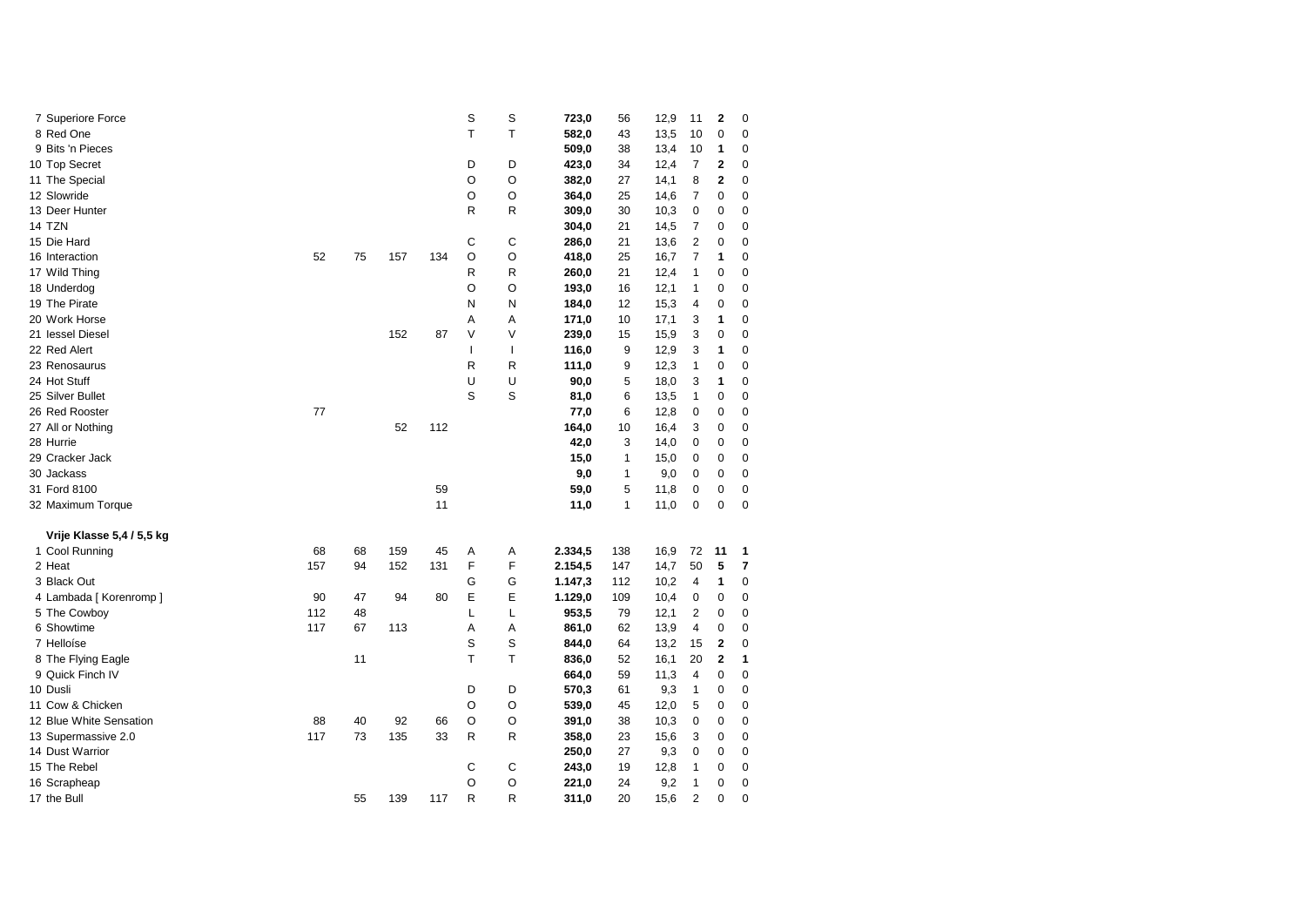| 7 Superiore Force         |     |    |     |     | S            | S            | 723,0   | 56  | 12,9 | 11             | 2              | 0           |
|---------------------------|-----|----|-----|-----|--------------|--------------|---------|-----|------|----------------|----------------|-------------|
| 8 Red One                 |     |    |     |     | т            | т            | 582,0   | 43  | 13,5 | 10             | 0              | 0           |
| 9 Bits 'n Pieces          |     |    |     |     |              |              | 509,0   | 38  | 13,4 | 10             | 1              | 0           |
| 10 Top Secret             |     |    |     |     | D            | D            | 423,0   | 34  | 12,4 | 7              | 2              | 0           |
| 11 The Special            |     |    |     |     | O            | O            | 382,0   | 27  | 14,1 | 8              | 2              | 0           |
| 12 Slowride               |     |    |     |     | O            | O            | 364,0   | 25  | 14,6 | 7              | 0              | 0           |
| 13 Deer Hunter            |     |    |     |     | R            | R            | 309,0   | 30  | 10,3 | 0              | 0              | 0           |
| 14 TZN                    |     |    |     |     |              |              | 304,0   | 21  | 14,5 | 7              | 0              | 0           |
| 15 Die Hard               |     |    |     |     | С            | С            | 286,0   | 21  | 13,6 | 2              | 0              | 0           |
| 16 Interaction            | 52  | 75 | 157 | 134 | O            | O            | 418,0   | 25  | 16,7 | 7              | 1              | 0           |
| 17 Wild Thing             |     |    |     |     | R            | R            | 260,0   | 21  | 12,4 | 1              | 0              | 0           |
| 18 Underdog               |     |    |     |     | O            | O            | 193,0   | 16  | 12,1 | 1              | 0              | 0           |
| 19 The Pirate             |     |    |     |     | N            | N            | 184,0   | 12  | 15,3 | 4              | 0              | 0           |
| 20 Work Horse             |     |    |     |     | Α            | Α            | 171,0   | 10  | 17,1 | 3              | 1              | 0           |
| 21 lessel Diesel          |     |    | 152 | 87  | V            | V            | 239,0   | 15  | 15,9 | 3              | 0              | $\mathbf 0$ |
| 22 Red Alert              |     |    |     |     | $\mathbf{I}$ | $\mathbf{I}$ | 116,0   | 9   | 12,9 | 3              | 1              | 0           |
| 23 Renosaurus             |     |    |     |     | R            | R            | 111,0   | 9   | 12,3 | 1              | 0              | 0           |
| 24 Hot Stuff              |     |    |     |     | U            | U            | 90,0    | 5   | 18,0 | 3              | 1              | 0           |
| 25 Silver Bullet          |     |    |     |     | S            | S            | 81,0    | 6   | 13,5 | 1              | 0              | 0           |
| 26 Red Rooster            | 77  |    |     |     |              |              | 77,0    | 6   | 12,8 | 0              | 0              | 0           |
| 27 All or Nothing         |     |    | 52  | 112 |              |              | 164,0   | 10  | 16,4 | 3              | 0              | 0           |
| 28 Hurrie                 |     |    |     |     |              |              | 42,0    | 3   | 14,0 | 0              | 0              | 0           |
| 29 Cracker Jack           |     |    |     |     |              |              | 15,0    | 1   | 15,0 | 0              | 0              | 0           |
| 30 Jackass                |     |    |     |     |              |              | 9,0     | 1   | 9,0  | 0              | 0              | 0           |
| 31 Ford 8100              |     |    |     | 59  |              |              | 59,0    | 5   | 11,8 | 0              | 0              | 0           |
| 32 Maximum Torque         |     |    |     | 11  |              |              | 11,0    | 1   | 11,0 | 0              | $\mathbf 0$    | 0           |
| Vrije Klasse 5,4 / 5,5 kg |     |    |     |     |              |              |         |     |      |                |                |             |
| 1 Cool Running            | 68  | 68 | 159 | 45  | Α            | Α            | 2.334,5 | 138 | 16,9 | 72             | 11             | 1           |
| 2 Heat                    | 157 | 94 | 152 | 131 | F            | F            | 2.154,5 | 147 | 14,7 | 50             | 5              | 7           |
| 3 Black Out               |     |    |     |     | G            | G            | 1.147,3 | 112 | 10,2 | 4              | 1              | 0           |
| 4 Lambada [ Korenromp ]   | 90  | 47 | 94  | 80  | Ε            | Е            | 1.129,0 | 109 | 10,4 | 0              | 0              | 0           |
| 5 The Cowboy              | 112 | 48 |     |     | L            | L            | 953,5   | 79  | 12,1 | 2              | 0              | 0           |
| 6 Showtime                | 117 | 67 | 113 |     | Α            | Α            | 861,0   | 62  | 13,9 | 4              | 0              | 0           |
| 7 Helloíse                |     |    |     |     | S            | S            | 844,0   | 64  | 13,2 | 15             | $\overline{2}$ | 0           |
| 8 The Flying Eagle        |     | 11 |     |     | T            | T            | 836,0   | 52  | 16,1 | 20             | $\mathbf{2}$   | 1           |
| 9 Quick Finch IV          |     |    |     |     |              |              | 664,0   | 59  | 11,3 | 4              | 0              | 0           |
| 10 Dusli                  |     |    |     |     | D            | D            | 570,3   | 61  | 9,3  | 1              | 0              | 0           |
| 11 Cow & Chicken          |     |    |     |     | O            | O            | 539,0   | 45  | 12,0 | 5              | 0              | 0           |
| 12 Blue White Sensation   | 88  | 40 | 92  | 66  | O            | O            | 391,0   | 38  | 10,3 | 0              | 0              | 0           |
| 13 Supermassive 2.0       | 117 | 73 | 135 | 33  | R            | R            | 358,0   | 23  | 15,6 | 3              | $\mathbf 0$    | 0           |
| 14 Dust Warrior           |     |    |     |     |              |              | 250,0   | 27  | 9,3  | 0              | 0              | 0           |
| 15 The Rebel              |     |    |     |     | C            | C            | 243,0   | 19  | 12,8 | 1              | 0              | $\mathbf 0$ |
| 16 Scrapheap              |     |    |     |     | $\circ$      | O            | 221,0   | 24  | 9,2  | $\mathbf{1}$   | 0              | $\mathbf 0$ |
| 17 the Bull               |     | 55 | 139 | 117 | R            | R            | 311,0   | 20  | 15,6 | $\overline{2}$ | 0              | $\mathbf 0$ |
|                           |     |    |     |     |              |              |         |     |      |                |                |             |